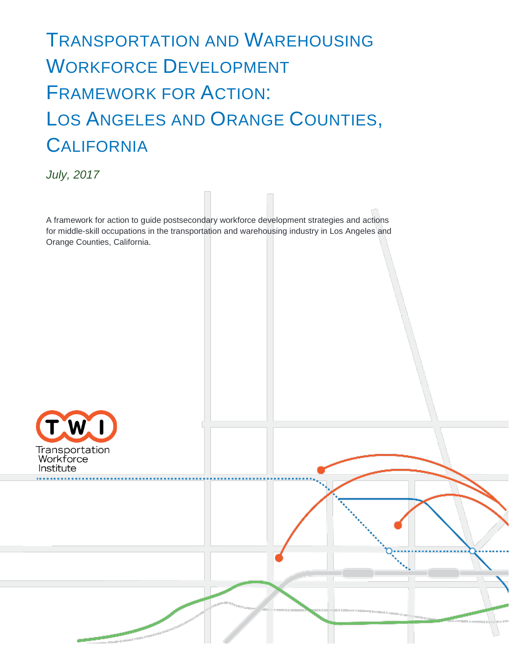# TRANSPORTATION AND WAREHOUSING WORKFORCE DEVELOPMENT FRAMEWORK FOR ACTION: LOS ANGELES AND ORANGE COUNTIES, **CALIFORNIA**

*July, 2017*

A framework for action to guide postsecondary workforce development strategies and actions for middle-skill occupations in the transportation and warehousing industry in Los Angeles and Orange Counties, California.

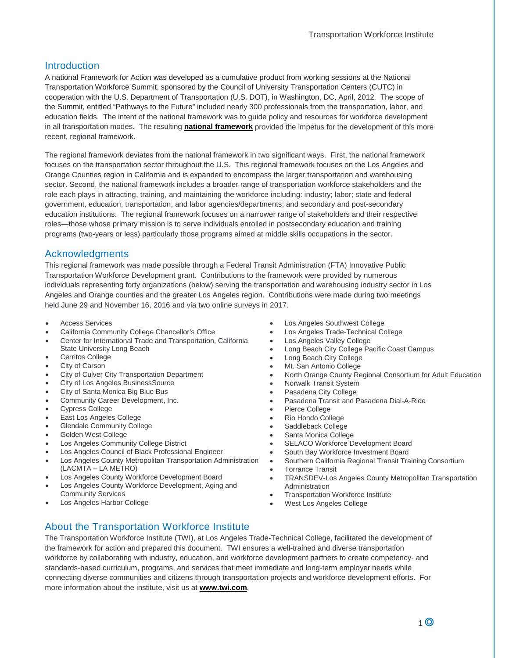### **Introduction**

A national Framework for Action was developed as a cumulative product from working sessions at the National Transportation Workforce Summit, sponsored by the Council of University Transportation Centers (CUTC) in cooperation with the U.S. Department of Transportation (U.S. DOT), in Washington, DC, April, 2012. The scope of the Summit, entitled "Pathways to the Future" included nearly 300 professionals from the transportation, labor, and education fields. The intent of the national framework was to guide policy and resources for workforce development in all transportation modes. The resulting **[national framework](http://www.mycutc.com/wp-content/uploads/2014/09/NTWS_Summary-of-Results.pdf)** provided the impetus for the development of this more recent, regional framework.

The regional framework deviates from the national framework in two significant ways. First, the national framework focuses on the transportation sector throughout the U.S. This regional framework focuses on the Los Angeles and Orange Counties region in California and is expanded to encompass the larger transportation and warehousing sector. Second, the national framework includes a broader range of transportation workforce stakeholders and the role each plays in attracting, training, and maintaining the workforce including: industry; labor; state and federal government, education, transportation, and labor agencies/departments; and secondary and post-secondary education institutions. The regional framework focuses on a narrower range of stakeholders and their respective roles—those whose primary mission is to serve individuals enrolled in postsecondary education and training programs (two-years or less) particularly those programs aimed at middle skills occupations in the sector.

### Acknowledgments

This regional framework was made possible through a Federal Transit Administration (FTA) Innovative Public Transportation Workforce Development grant. Contributions to the framework were provided by numerous individuals representing forty organizations (below) serving the transportation and warehousing industry sector in Los Angeles and Orange counties and the greater Los Angeles region. Contributions were made during two meetings held June 29 and November 16, 2016 and via two online surveys in 2017.

- Access Services
- California Community College Chancellor's Office
- Center for International Trade and Transportation, California State University Long Beach
- Cerritos College
- City of Carson
- City of Culver City Transportation Department
- City of Los Angeles BusinessSource
- City of Santa Monica Big Blue Bus
- Community Career Development, Inc.
- Cypress College
- East Los Angeles College
- Glendale Community College
- Golden West College
- Los Angeles Community College District
- Los Angeles Council of Black Professional Engineer
- Los Angeles County Metropolitan Transportation Administration (LACMTA – LA METRO)
- Los Angeles County Workforce Development Board
- Los Angeles County Workforce Development, Aging and Community Services
- Los Angeles Harbor College
- Los Angeles Southwest College
- Los Angeles Trade-Technical College
- Los Angeles Valley College
- Long Beach City College Pacific Coast Campus
- Long Beach City College
- Mt. San Antonio College
- North Orange County Regional Consortium for Adult Education
- Norwalk Transit System
- Pasadena City College
- Pasadena Transit and Pasadena Dial-A-Ride
- Pierce College
- Rio Hondo College
- Saddleback College
- Santa Monica College
- SELACO Workforce Development Board
- South Bay Workforce Investment Board
- Southern California Regional Transit Training Consortium
- Torrance Transit
- TRANSDEV-Los Angeles County Metropolitan Transportation **Administration**
- Transportation Workforce Institute
- West Los Angeles College

## About the Transportation Workforce Institute

The Transportation Workforce Institute (TWI), at Los Angeles Trade-Technical College, facilitated the development of the framework for action and prepared this document. TWI ensures a well-trained and diverse transportation workforce by collaborating with industry, education, and workforce development partners to create competency- and standards-based curriculum, programs, and services that meet immediate and long-term employer needs while connecting diverse communities and citizens through transportation projects and workforce development efforts. For more information about the institute, visit us at **[www.twi.com](http://www.twi.com/)**.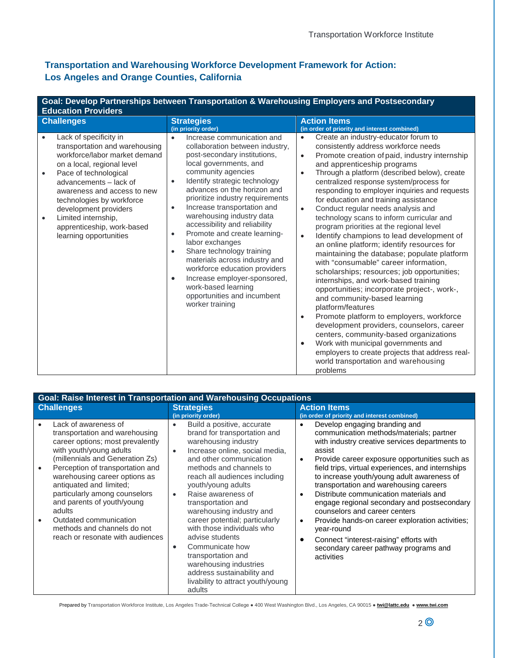# **Transportation and Warehousing Workforce Development Framework for Action: Los Angeles and Orange Counties, California**

| Goal: Develop Partnerships between Transportation & Warehousing Employers and Postsecondary<br><b>Education Providers</b>                                                                                                                                                                                                                                                             |                                                                                                                                                                                                                                                                                                                                                                                                                                                                                                                                                                                                                                                                                         |                                                                                                                                                                                                                                                                                                                                                                                                                                                                                                                                                                                                                                                                                                                                                                                                                                                                                                                                                                                                                                                                                                                                                                                                                                            |  |  |
|---------------------------------------------------------------------------------------------------------------------------------------------------------------------------------------------------------------------------------------------------------------------------------------------------------------------------------------------------------------------------------------|-----------------------------------------------------------------------------------------------------------------------------------------------------------------------------------------------------------------------------------------------------------------------------------------------------------------------------------------------------------------------------------------------------------------------------------------------------------------------------------------------------------------------------------------------------------------------------------------------------------------------------------------------------------------------------------------|--------------------------------------------------------------------------------------------------------------------------------------------------------------------------------------------------------------------------------------------------------------------------------------------------------------------------------------------------------------------------------------------------------------------------------------------------------------------------------------------------------------------------------------------------------------------------------------------------------------------------------------------------------------------------------------------------------------------------------------------------------------------------------------------------------------------------------------------------------------------------------------------------------------------------------------------------------------------------------------------------------------------------------------------------------------------------------------------------------------------------------------------------------------------------------------------------------------------------------------------|--|--|
| <b>Challenges</b>                                                                                                                                                                                                                                                                                                                                                                     | <b>Strategies</b><br>(in priority order)                                                                                                                                                                                                                                                                                                                                                                                                                                                                                                                                                                                                                                                | <b>Action Items</b><br>(in order of priority and interest combined)                                                                                                                                                                                                                                                                                                                                                                                                                                                                                                                                                                                                                                                                                                                                                                                                                                                                                                                                                                                                                                                                                                                                                                        |  |  |
| Lack of specificity in<br>$\bullet$<br>transportation and warehousing<br>workforce/labor market demand<br>on a local, regional level<br>Pace of technological<br>$\bullet$<br>advancements - lack of<br>awareness and access to new<br>technologies by workforce<br>development providers<br>Limited internship,<br>$\bullet$<br>apprenticeship, work-based<br>learning opportunities | Increase communication and<br>$\bullet$<br>collaboration between industry,<br>post-secondary institutions,<br>local governments, and<br>community agencies<br>Identify strategic technology<br>$\bullet$<br>advances on the horizon and<br>prioritize industry requirements<br>Increase transportation and<br>$\bullet$<br>warehousing industry data<br>accessibility and reliability<br>Promote and create learning-<br>$\bullet$<br>labor exchanges<br>Share technology training<br>$\bullet$<br>materials across industry and<br>workforce education providers<br>Increase employer-sponsored,<br>$\bullet$<br>work-based learning<br>opportunities and incumbent<br>worker training | Create an industry-educator forum to<br>$\bullet$<br>consistently address workforce needs<br>Promote creation of paid, industry internship<br>$\bullet$<br>and apprenticeship programs<br>Through a platform (described below), create<br>$\bullet$<br>centralized response system/process for<br>responding to employer inquiries and requests<br>for education and training assistance<br>Conduct regular needs analysis and<br>$\bullet$<br>technology scans to inform curricular and<br>program priorities at the regional level<br>Identify champions to lead development of<br>$\bullet$<br>an online platform; identify resources for<br>maintaining the database; populate platform<br>with "consumable" career information,<br>scholarships; resources; job opportunities;<br>internships, and work-based training<br>opportunities; incorporate project-, work-,<br>and community-based learning<br>platform/features<br>Promote platform to employers, workforce<br>$\bullet$<br>development providers, counselors, career<br>centers, community-based organizations<br>Work with municipal governments and<br>$\bullet$<br>employers to create projects that address real-<br>world transportation and warehousing<br>problems |  |  |

| <b>Goal: Raise Interest in Transportation and Warehousing Occupations</b>                                                                                                                                                                                                                                                                                                                                                                   |                                                                                                                                                                                                                                                                                                                                                                                                                                                                                                                                                                                                  |                                                                                                                                                                                                                                                                                                                                                                                                                                                                                                                                                                                                                                                                                                   |  |  |
|---------------------------------------------------------------------------------------------------------------------------------------------------------------------------------------------------------------------------------------------------------------------------------------------------------------------------------------------------------------------------------------------------------------------------------------------|--------------------------------------------------------------------------------------------------------------------------------------------------------------------------------------------------------------------------------------------------------------------------------------------------------------------------------------------------------------------------------------------------------------------------------------------------------------------------------------------------------------------------------------------------------------------------------------------------|---------------------------------------------------------------------------------------------------------------------------------------------------------------------------------------------------------------------------------------------------------------------------------------------------------------------------------------------------------------------------------------------------------------------------------------------------------------------------------------------------------------------------------------------------------------------------------------------------------------------------------------------------------------------------------------------------|--|--|
| <b>Challenges</b>                                                                                                                                                                                                                                                                                                                                                                                                                           | <b>Strategies</b><br>(in priority order)                                                                                                                                                                                                                                                                                                                                                                                                                                                                                                                                                         | <b>Action Items</b><br>(in order of priority and interest combined)                                                                                                                                                                                                                                                                                                                                                                                                                                                                                                                                                                                                                               |  |  |
| Lack of awareness of<br>transportation and warehousing<br>career options; most prevalently<br>with youth/young adults<br>(millennials and Generation Zs)<br>Perception of transportation and<br>$\bullet$<br>warehousing career options as<br>antiquated and limited;<br>particularly among counselors<br>and parents of youth/young<br>adults<br>Outdated communication<br>methods and channels do not<br>reach or resonate with audiences | Build a positive, accurate<br>$\bullet$<br>brand for transportation and<br>warehousing industry<br>Increase online, social media,<br>$\bullet$<br>and other communication<br>methods and channels to<br>reach all audiences including<br>youth/young adults<br>Raise awareness of<br>$\bullet$<br>transportation and<br>warehousing industry and<br>career potential; particularly<br>with those individuals who<br>advise students<br>Communicate how<br>$\bullet$<br>transportation and<br>warehousing industries<br>address sustainability and<br>livability to attract youth/young<br>adults | Develop engaging branding and<br>$\bullet$<br>communication methods/materials; partner<br>with industry creative services departments to<br>assist<br>Provide career exposure opportunities such as<br>$\bullet$<br>field trips, virtual experiences, and internships<br>to increase youth/young adult awareness of<br>transportation and warehousing careers<br>Distribute communication materials and<br>$\bullet$<br>engage regional secondary and postsecondary<br>counselors and career centers<br>Provide hands-on career exploration activities;<br>$\bullet$<br>year-round<br>Connect "interest-raising" efforts with<br>$\bullet$<br>secondary career pathway programs and<br>activities |  |  |

Prepared by Transportation Workforce Institute, Los Angeles Trade-Technical College ● 400 West Washington Blvd., Los Angeles, CA 90015 ● **[twi@lattc.edu](mailto:twi@lattc.edu)** ● **[www.twi.com](http://www.twi.com/)**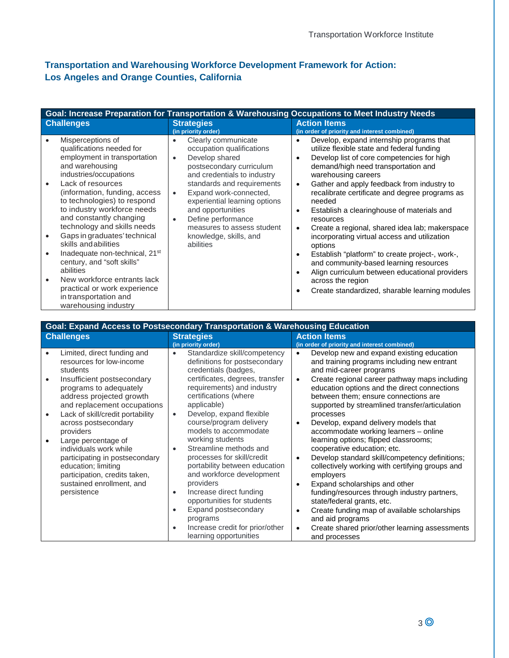## **Transportation and Warehousing Workforce Development Framework for Action: Los Angeles and Orange Counties, California**

| Goal: Increase Preparation for Transportation & Warehousing Occupations to Meet Industry Needs                                                                                                                                                                                                                                                                                                                                                                                                                                                                             |                                                                                                                                                                                                                                                                                                                                                                               |                                                                                                                                                                                                                                                                                                                                                                                                                                                                                                                                                                                                                                                                                                                                                                                                                    |  |  |
|----------------------------------------------------------------------------------------------------------------------------------------------------------------------------------------------------------------------------------------------------------------------------------------------------------------------------------------------------------------------------------------------------------------------------------------------------------------------------------------------------------------------------------------------------------------------------|-------------------------------------------------------------------------------------------------------------------------------------------------------------------------------------------------------------------------------------------------------------------------------------------------------------------------------------------------------------------------------|--------------------------------------------------------------------------------------------------------------------------------------------------------------------------------------------------------------------------------------------------------------------------------------------------------------------------------------------------------------------------------------------------------------------------------------------------------------------------------------------------------------------------------------------------------------------------------------------------------------------------------------------------------------------------------------------------------------------------------------------------------------------------------------------------------------------|--|--|
| <b>Challenges</b>                                                                                                                                                                                                                                                                                                                                                                                                                                                                                                                                                          | <b>Strategies</b><br>(in priority order)                                                                                                                                                                                                                                                                                                                                      | <b>Action Items</b><br>(in order of priority and interest combined)                                                                                                                                                                                                                                                                                                                                                                                                                                                                                                                                                                                                                                                                                                                                                |  |  |
| Misperceptions of<br>qualifications needed for<br>employment in transportation<br>and warehousing<br>industries/occupations<br>Lack of resources<br>(information, funding, access<br>to technologies) to respond<br>to industry workforce needs<br>and constantly changing<br>technology and skills needs<br>Gaps in graduates' technical<br>skills and abilities<br>Inadequate non-technical, 21 <sup>st</sup><br>century, and "soft skills"<br>abilities<br>New workforce entrants lack<br>practical or work experience<br>in transportation and<br>warehousing industry | Clearly communicate<br>occupation qualifications<br>Develop shared<br>$\bullet$<br>postsecondary curriculum<br>and credentials to industry<br>standards and requirements<br>Expand work-connected,<br>$\bullet$<br>experiential learning options<br>and opportunities<br>Define performance<br>$\bullet$<br>measures to assess student<br>knowledge, skills, and<br>abilities | Develop, expand internship programs that<br>$\bullet$<br>utilize flexible state and federal funding<br>Develop list of core competencies for high<br>$\bullet$<br>demand/high need transportation and<br>warehousing careers<br>Gather and apply feedback from industry to<br>$\bullet$<br>recalibrate certificate and degree programs as<br>needed<br>Establish a clearinghouse of materials and<br>$\bullet$<br>resources<br>Create a regional, shared idea lab; makerspace<br>$\bullet$<br>incorporating virtual access and utilization<br>options<br>Establish "platform" to create project-, work-,<br>$\bullet$<br>and community-based learning resources<br>Align curriculum between educational providers<br>$\bullet$<br>across the region<br>Create standardized, sharable learning modules<br>$\bullet$ |  |  |

| Goal: Expand Access to Postsecondary Transportation & Warehousing Education                                                                                                                                                                                                                                                                                                                                                                                    |                                                                                                                                                                                                                                                                                                                                                                                                                                                                 |                                                                                                                                                                                                                                                                                                                                                                                                                                                                                                                                                                                                                                                            |  |
|----------------------------------------------------------------------------------------------------------------------------------------------------------------------------------------------------------------------------------------------------------------------------------------------------------------------------------------------------------------------------------------------------------------------------------------------------------------|-----------------------------------------------------------------------------------------------------------------------------------------------------------------------------------------------------------------------------------------------------------------------------------------------------------------------------------------------------------------------------------------------------------------------------------------------------------------|------------------------------------------------------------------------------------------------------------------------------------------------------------------------------------------------------------------------------------------------------------------------------------------------------------------------------------------------------------------------------------------------------------------------------------------------------------------------------------------------------------------------------------------------------------------------------------------------------------------------------------------------------------|--|
| <b>Challenges</b>                                                                                                                                                                                                                                                                                                                                                                                                                                              | <b>Strategies</b><br>(in priority order)                                                                                                                                                                                                                                                                                                                                                                                                                        | <b>Action Items</b><br>(in order of priority and interest combined)                                                                                                                                                                                                                                                                                                                                                                                                                                                                                                                                                                                        |  |
| Limited, direct funding and<br>$\bullet$<br>resources for low-income<br>students<br>Insufficient postsecondary<br>$\bullet$<br>programs to adequately<br>address projected growth<br>and replacement occupations<br>Lack of skill/credit portability<br>$\bullet$<br>across postsecondary<br>providers<br>Large percentage of<br>$\bullet$<br>individuals work while<br>participating in postsecondary<br>education; limiting<br>participation, credits taken, | Standardize skill/competency<br>$\bullet$<br>definitions for postsecondary<br>credentials (badges,<br>certificates, degrees, transfer<br>requirements) and industry<br>certifications (where<br>applicable)<br>Develop, expand flexible<br>$\bullet$<br>course/program delivery<br>models to accommodate<br>working students<br>Streamline methods and<br>$\bullet$<br>processes for skill/credit<br>portability between education<br>and workforce development | Develop new and expand existing education<br>$\bullet$<br>and training programs including new entrant<br>and mid-career programs<br>Create regional career pathway maps including<br>$\bullet$<br>education options and the direct connections<br>between them; ensure connections are<br>supported by streamlined transfer/articulation<br>processes<br>Develop, expand delivery models that<br>$\bullet$<br>accommodate working learners - online<br>learning options; flipped classrooms;<br>cooperative education; etc.<br>Develop standard skill/competency definitions;<br>$\bullet$<br>collectively working with certifying groups and<br>employers |  |
| sustained enrollment, and<br>persistence                                                                                                                                                                                                                                                                                                                                                                                                                       | providers<br>Increase direct funding<br>٠                                                                                                                                                                                                                                                                                                                                                                                                                       | Expand scholarships and other<br>$\bullet$<br>funding/resources through industry partners,                                                                                                                                                                                                                                                                                                                                                                                                                                                                                                                                                                 |  |
|                                                                                                                                                                                                                                                                                                                                                                                                                                                                | opportunities for students<br>Expand postsecondary<br>programs                                                                                                                                                                                                                                                                                                                                                                                                  | state/federal grants, etc.<br>Create funding map of available scholarships<br>$\bullet$<br>and aid programs                                                                                                                                                                                                                                                                                                                                                                                                                                                                                                                                                |  |
|                                                                                                                                                                                                                                                                                                                                                                                                                                                                | Increase credit for prior/other<br>learning opportunities                                                                                                                                                                                                                                                                                                                                                                                                       | Create shared prior/other learning assessments<br>$\bullet$<br>and processes                                                                                                                                                                                                                                                                                                                                                                                                                                                                                                                                                                               |  |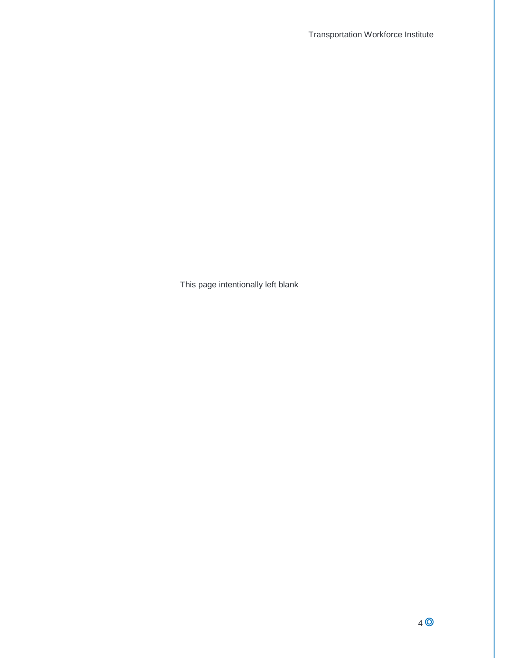This page intentionally left blank